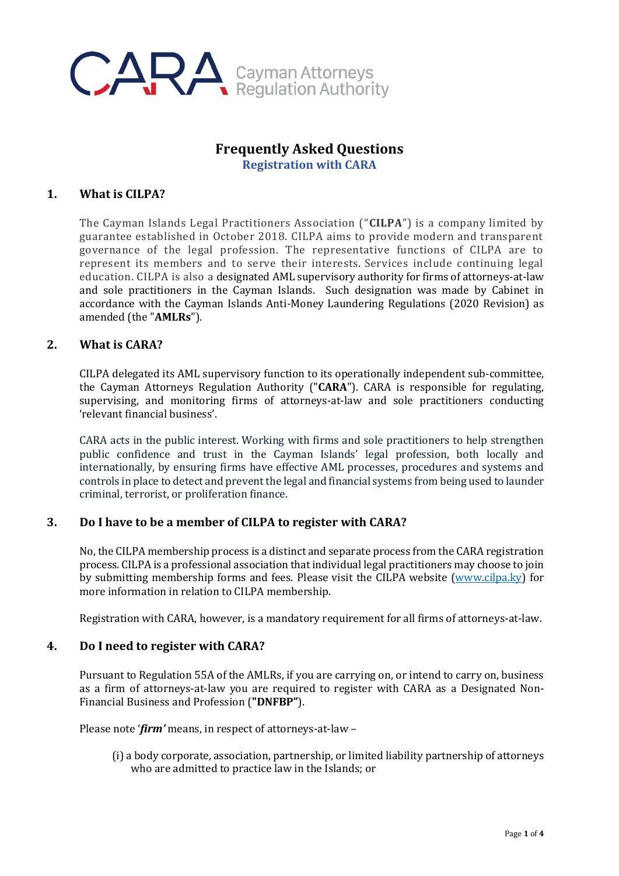

# **Frequently Asked Questions Registration with CARA**

## **1. What is CILPA?**

The Cayman Islands Legal Practitioners Association ("**CILPA**") is a company limited by guarantee established in October 2018. CILPA aims to provide modern and transparent governance of the legal profession. The representative functions of CILPA are to represent its members and to serve their interests. Services include continuing legal education. CILPA is also a designated AML supervisory authority for firms of attorneys-at-law and sole practitioners in the Cayman Islands. Such designation was made by Cabinet in accordance with the Cayman Islands Anti-Money Laundering Regulations (2020 Revision) as amended (the "**AMLRs**").

## **2. What is CARA?**

CILPA delegated its AML supervisory function to its operationally independent sub-committee, the Cayman Attorneys Regulation Authority ("**CARA**"). CARA is responsible for regulating, supervising, and monitoring firms of attorneys-at-law and sole practitioners conducting 'relevant financial business'.

CARA acts in the public interest. Working with firms and sole practitioners to help strengthen public confidence and trust in the Cayman Islands' legal profession, both locally and internationally, by ensuring firms have effective AML processes, procedures and systems and controls in place to detect and prevent the legal and financial systems from being used to launder criminal, terrorist, or proliferation finance.

# **3. Do I have to be a member of CILPA to register with CARA?**

No, the CILPA membership process is a distinct and separate process from the CARA registration process. CILPA is a professional association that individual legal practitioners may choose to join by submitting membership forms and fees. Please visit the CILPA website [\(www.cilpa.ky\)](http://www.cilpa.ky/) for more information in relation to CILPA membership.

Registration with CARA, however, is a mandatory requirement for all firms of attorneys-at-law.

## **4. Do I need to register with CARA?**

Pursuant to Regulation 55A of the AMLRs, if you are carrying on, or intend to carry on, business as a firm of attorneys-at-law you are required to register with CARA as a Designated Non-Financial Business and Profession (**"DNFBP"**).

Please note '*firm'* means, in respect of attorneys-at-law –

(i) a body corporate, association, partnership, or limited liability partnership of attorneys who are admitted to practice law in the Islands; or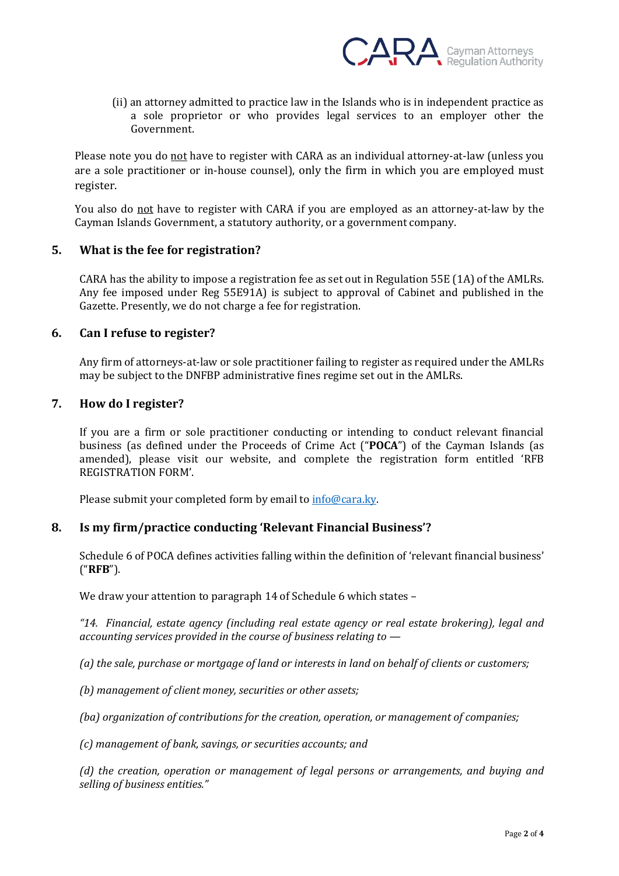

(ii) an attorney admitted to practice law in the Islands who is in independent practice as a sole proprietor or who provides legal services to an employer other the Government.

Please note you do not have to register with CARA as an individual attorney-at-law (unless you are a sole practitioner or in-house counsel), only the firm in which you are employed must register.

You also do not have to register with CARA if you are employed as an attorney-at-law by the Cayman Islands Government, a statutory authority, or a government company.

### **5. What is the fee for registration?**

CARA has the ability to impose a registration fee as set out in Regulation 55E (1A) of the AMLRs. Any fee imposed under Reg 55E91A) is subject to approval of Cabinet and published in the Gazette. Presently, we do not charge a fee for registration.

### **6. Can I refuse to register?**

Any firm of attorneys-at-law or sole practitioner failing to register as required under the AMLRs may be subject to the DNFBP administrative fines regime set out in the AMLRs.

### **7. How do I register?**

If you are a firm or sole practitioner conducting or intending to conduct relevant financial business (as defined under the Proceeds of Crime Act ("**POCA**") of the Cayman Islands (as amended), please visit our website, and complete the registration form entitled 'RFB REGISTRATION FORM'.

Please submit your completed form by email to [info@cara.ky.](mailto:info@cara.ky)

## **8. Is my firm/practice conducting 'Relevant Financial Business'?**

Schedule 6 of POCA defines activities falling within the definition of 'relevant financial business' ("**RFB**").

We draw your attention to paragraph 14 of Schedule 6 which states -

*"14. Financial, estate agency (including real estate agency or real estate brokering), legal and accounting services provided in the course of business relating to —*

*(a) the sale, purchase or mortgage of land or interests in land on behalf of clients or customers;*

*(b) management of client money, securities or other assets;* 

*(ba) organization of contributions for the creation, operation, or management of companies;* 

*(c) management of bank, savings, or securities accounts; and*

*(d) the creation, operation or management of legal persons or arrangements, and buying and selling of business entities."*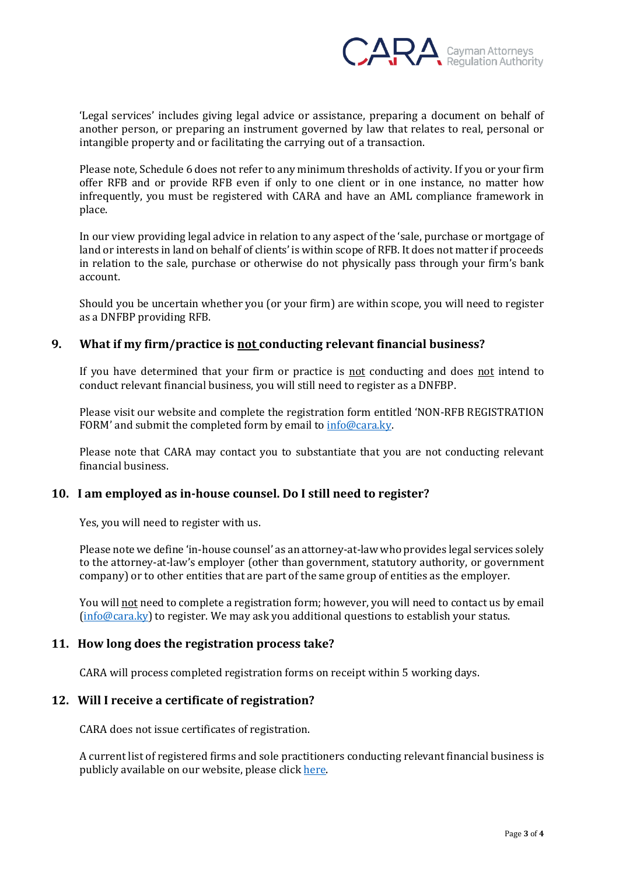

'Legal services' includes giving legal advice or assistance, preparing a document on behalf of another person, or preparing an instrument governed by law that relates to real, personal or intangible property and or facilitating the carrying out of a transaction.

Please note, Schedule 6 does not refer to any minimum thresholds of activity. If you or your firm offer RFB and or provide RFB even if only to one client or in one instance, no matter how infrequently, you must be registered with CARA and have an AML compliance framework in place.

In our view providing legal advice in relation to any aspect of the 'sale, purchase or mortgage of land or interests in land on behalf of clients' is within scope of RFB. It does not matter if proceeds in relation to the sale, purchase or otherwise do not physically pass through your firm's bank account.

Should you be uncertain whether you (or your firm) are within scope, you will need to register as a DNFBP providing RFB.

# **9. What if my firm/practice is not conducting relevant financial business?**

If you have determined that your firm or practice is not conducting and does not intend to conduct relevant financial business, you will still need to register as a DNFBP.

Please visit our website and complete the registration form entitled 'NON-RFB REGISTRATION FORM' and submit the completed form by email to  $info@cara.ky$ .

Please note that CARA may contact you to substantiate that you are not conducting relevant financial business.

### **10. I am employed as in-house counsel. Do I still need to register?**

Yes, you will need to register with us.

Please note we define 'in-house counsel' as an attorney-at-law who provides legal services solely to the attorney-at-law's employer (other than government, statutory authority, or government company) or to other entities that are part of the same group of entities as the employer.

You will not need to complete a registration form; however, you will need to contact us by email [\(info@cara.ky\)](mailto:info@cara.ky) to register. We may ask you additional questions to establish your status.

### **11. How long does the registration process take?**

CARA will process completed registration forms on receipt within 5 working days.

### **12. Will I receive a certificate of registration?**

CARA does not issue certificates of registration.

A current list of registered firms and sole practitioners conducting relevant financial business is publicly available on our website, please click [here](https://cara.ky/registry/).